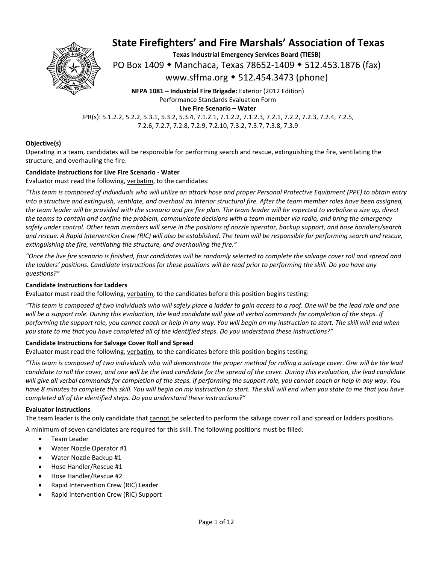

**Texas Industrial Emergency Services Board (TIESB)** 

PO Box 1409 ◆ Manchaca, Texas 78652-1409 ◆ 512.453.1876 (fax)

www.sffma.org 512.454.3473 (phone)

**NFPA 1081 – Industrial Fire Brigade:** Exterior (2012 Edition) Performance Standards Evaluation Form **Live Fire Scenario – Water** 

JPR(s): 5.1.2.2, 5.2.2, 5.3.1, 5.3.2, 5.3.4, 7.1.2.1, 7.1.2.2, 7.1.2.3, 7.2.1, 7.2.2, 7.2.3, 7.2.4, 7.2.5, 7.2.6, 7.2.7, 7.2.8, 7.2.9, 7.2.10, 7.3.2, 7.3.7, 7.3.8, 7.3.9

#### **Objective(s)**

Operating in a team, candidates will be responsible for performing search and rescue, extinguishing the fire, ventilating the structure, and overhauling the fire.

#### **Candidate Instructions for Live Fire Scenario ‐ Water**

Evaluator must read the following, verbatim, to the candidates:

*"This team is composed of individuals who will utilize an attack hose and proper Personal Protective Equipment (PPE) to obtain entry into a structure and extinguish, ventilate, and overhaul an interior structural fire. After the team member roles have been assigned, the team leader will be provided with the scenario and pre fire plan. The team leader will be expected to verbalize a size up, direct the teams to contain and confine the problem, communicate decisions with a team member via radio, and bring the emergency safely under control. Other team members will serve in the positions of nozzle operator, backup support, and hose handlers/search and rescue. A Rapid Intervention Crew (RIC) will also be established. The team will be responsible for performing search and rescue, extinguishing the fire, ventilating the structure, and overhauling the fire."* 

*"Once the live fire scenario is finished, four candidates will be randomly selected to complete the salvage cover roll and spread and the ladders' positions. Candidate instructions for these positions will be read prior to performing the skill. Do you have any questions?"* 

#### **Candidate Instructions for Ladders**

Evaluator must read the following, verbatim, to the candidates before this position begins testing:

*"This team is composed of two individuals who will safely place a ladder to gain access to a roof. One will be the lead role and one will be a support role. During this evaluation, the lead candidate will give all verbal commands for completion of the steps. If performing the support role, you cannot coach or help in any way. You will begin on my instruction to start. The skill will end when you state to me that you have completed all of the identified steps. Do you understand these instructions?"* 

#### **Candidate Instructions for Salvage Cover Roll and Spread**

Evaluator must read the following, verbatim, to the candidates before this position begins testing:

*"This team is composed of two individuals who will demonstrate the proper method for rolling a salvage cover. One will be the lead candidate to roll the cover, and one will be the lead candidate for the spread of the cover. During this evaluation, the lead candidate will give all verbal commands for completion of the steps. If performing the support role, you cannot coach or help in any way. You have 8 minutes to complete this skill. You will begin on my instruction to start. The skill will end when you state to me that you have completed all of the identified steps. Do you understand these instructions?"* 

#### **Evaluator Instructions**

The team leader is the only candidate that cannot be selected to perform the salvage cover roll and spread or ladders positions.

A minimum of seven candidates are required for this skill. The following positions must be filled:

- **•** Team Leader
- Water Nozzle Operator #1
- Water Nozzle Backup #1
- Hose Handler/Rescue #1
- Hose Handler/Rescue #2
- Rapid Intervention Crew (RIC) Leader
- Rapid Intervention Crew (RIC) Support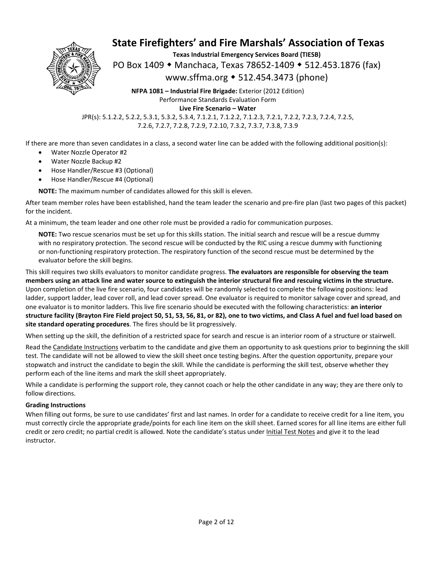

**Texas Industrial Emergency Services Board (TIESB)** 

PO Box 1409 • Manchaca, Texas 78652-1409 • 512.453.1876 (fax)

www.sffma.org 512.454.3473 (phone)

**NFPA 1081 – Industrial Fire Brigade:** Exterior (2012 Edition) Performance Standards Evaluation Form **Live Fire Scenario – Water** 

JPR(s): 5.1.2.2, 5.2.2, 5.3.1, 5.3.2, 5.3.4, 7.1.2.1, 7.1.2.2, 7.1.2.3, 7.2.1, 7.2.2, 7.2.3, 7.2.4, 7.2.5, 7.2.6, 7.2.7, 7.2.8, 7.2.9, 7.2.10, 7.3.2, 7.3.7, 7.3.8, 7.3.9

If there are more than seven candidates in a class, a second water line can be added with the following additional position(s):

- Water Nozzle Operator #2
- Water Nozzle Backup #2
- Hose Handler/Rescue #3 (Optional)
- Hose Handler/Rescue #4 (Optional)

**NOTE:** The maximum number of candidates allowed for this skill is eleven.

After team member roles have been established, hand the team leader the scenario and pre‐fire plan (last two pages of this packet) for the incident.

At a minimum, the team leader and one other role must be provided a radio for communication purposes.

**NOTE:** Two rescue scenarios must be set up for this skills station. The initial search and rescue will be a rescue dummy with no respiratory protection. The second rescue will be conducted by the RIC using a rescue dummy with functioning or non‐functioning respiratory protection. The respiratory function of the second rescue must be determined by the evaluator before the skill begins.

This skill requires two skills evaluators to monitor candidate progress. **The evaluators are responsible for observing the team members using an attack line and water source to extinguish the interior structural fire and rescuing victims in the structure.** Upon completion of the live fire scenario, four candidates will be randomly selected to complete the following positions: lead ladder, support ladder, lead cover roll, and lead cover spread. One evaluator is required to monitor salvage cover and spread, and one evaluator is to monitor ladders. This live fire scenario should be executed with the following characteristics: **an interior structure facility (Brayton Fire Field project 50, 51, 53, 56, 81, or 82), one to two victims, and Class A fuel and fuel load based on site standard operating procedures**. The fires should be lit progressively.

When setting up the skill, the definition of a restricted space for search and rescue is an interior room of a structure or stairwell.

Read the Candidate Instructions verbatim to the candidate and give them an opportunity to ask questions prior to beginning the skill test. The candidate will not be allowed to view the skill sheet once testing begins. After the question opportunity, prepare your stopwatch and instruct the candidate to begin the skill. While the candidate is performing the skill test, observe whether they perform each of the line items and mark the skill sheet appropriately.

While a candidate is performing the support role, they cannot coach or help the other candidate in any way; they are there only to follow directions.

#### **Grading Instructions**

When filling out forms, be sure to use candidates' first and last names. In order for a candidate to receive credit for a line item, you must correctly circle the appropriate grade/points for each line item on the skill sheet. Earned scores for all line items are either full credit or zero credit; no partial credit is allowed. Note the candidate's status under Initial Test Notes and give it to the lead instructor.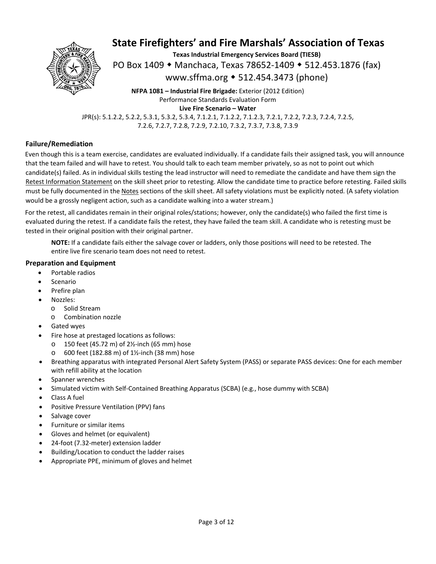

**Texas Industrial Emergency Services Board (TIESB)** 

PO Box 1409 ◆ Manchaca, Texas 78652-1409 ◆ 512.453.1876 (fax)

www.sffma.org 512.454.3473 (phone)

**NFPA 1081 – Industrial Fire Brigade:** Exterior (2012 Edition) Performance Standards Evaluation Form **Live Fire Scenario – Water** 

JPR(s): 5.1.2.2, 5.2.2, 5.3.1, 5.3.2, 5.3.4, 7.1.2.1, 7.1.2.2, 7.1.2.3, 7.2.1, 7.2.2, 7.2.3, 7.2.4, 7.2.5, 7.2.6, 7.2.7, 7.2.8, 7.2.9, 7.2.10, 7.3.2, 7.3.7, 7.3.8, 7.3.9

#### **Failure/Remediation**

Even though this is a team exercise, candidates are evaluated individually. If a candidate fails their assigned task, you will announce that the team failed and will have to retest. You should talk to each team member privately, so as not to point out which candidate(s) failed. As in individual skills testing the lead instructor will need to remediate the candidate and have them sign the Retest Information Statement on the skill sheet prior to retesting. Allow the candidate time to practice before retesting. Failed skills must be fully documented in the Notes sections of the skill sheet. All safety violations must be explicitly noted. (A safety violation would be a grossly negligent action, such as a candidate walking into a water stream.)

For the retest, all candidates remain in their original roles/stations; however, only the candidate(s) who failed the first time is evaluated during the retest. If a candidate fails the retest, they have failed the team skill. A candidate who is retesting must be tested in their original position with their original partner.

**NOTE:** If a candidate fails either the salvage cover or ladders, only those positions will need to be retested. The entire live fire scenario team does not need to retest.

#### **Preparation and Equipment**

- Portable radios
- Scenario
- Prefire plan
- Nozzles:
	- o Solid Stream
	- o Combination nozzle
- Gated wyes
- Fire hose at prestaged locations as follows:
	- o 150 feet (45.72 m) of 2½‐inch (65 mm) hose
	- 600 feet (182.88 m) of 1½-inch (38 mm) hose
- Breathing apparatus with integrated Personal Alert Safety System (PASS) or separate PASS devices: One for each member with refill ability at the location
- Spanner wrenches
- Simulated victim with Self‐Contained Breathing Apparatus (SCBA) (e.g., hose dummy with SCBA)
- Class A fuel
- Positive Pressure Ventilation (PPV) fans
- Salvage cover
- Furniture or similar items
- Gloves and helmet (or equivalent)
- 24‐foot (7.32‐meter) extension ladder
- Building/Location to conduct the ladder raises
- Appropriate PPE, minimum of gloves and helmet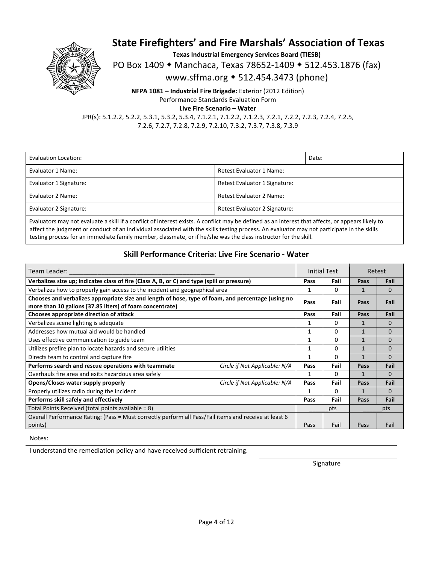

**Texas Industrial Emergency Services Board (TIESB)** 

PO Box 1409 • Manchaca, Texas 78652-1409 • 512.453.1876 (fax)

www.sffma.org 512.454.3473 (phone)

**NFPA 1081 – Industrial Fire Brigade:** Exterior (2012 Edition) Performance Standards Evaluation Form

**Live Fire Scenario – Water** 

JPR(s): 5.1.2.2, 5.2.2, 5.3.1, 5.3.2, 5.3.4, 7.1.2.1, 7.1.2.2, 7.1.2.3, 7.2.1, 7.2.2, 7.2.3, 7.2.4, 7.2.5, 7.2.6, 7.2.7, 7.2.8, 7.2.9, 7.2.10, 7.3.2, 7.3.7, 7.3.8, 7.3.9

| Evaluation Location:   |                               | Date: |  |
|------------------------|-------------------------------|-------|--|
| Evaluator 1 Name:      | Retest Evaluator 1 Name:      |       |  |
| Evaluator 1 Signature: | Retest Evaluator 1 Signature: |       |  |
| Evaluator 2 Name:      | Retest Evaluator 2 Name:      |       |  |
| Evaluator 2 Signature: | Retest Evaluator 2 Signature: |       |  |
|                        |                               |       |  |

Evaluators may not evaluate a skill if a conflict of interest exists. A conflict may be defined as an interest that affects, or appears likely to affect the judgment or conduct of an individual associated with the skills testing process. An evaluator may not participate in the skills testing process for an immediate family member, classmate, or if he/she was the class instructor for the skill.

### **Skill Performance Criteria: Live Fire Scenario ‐ Water**

| Team Leader:                                                                                                                                                   |                               | Initial Test |          | Retest       |          |
|----------------------------------------------------------------------------------------------------------------------------------------------------------------|-------------------------------|--------------|----------|--------------|----------|
| Verbalizes size up; indicates class of fire (Class A, B, or C) and type (spill or pressure)                                                                    |                               | Pass         | Fail     | Pass         | Fail     |
| Verbalizes how to properly gain access to the incident and geographical area                                                                                   |                               | 1            | $\Omega$ | 1            | $\Omega$ |
| Chooses and verbalizes appropriate size and length of hose, type of foam, and percentage (using no<br>more than 10 gallons [37.85 liters] of foam concentrate) |                               | Pass         | Fail     | Pass         | Fail     |
| Chooses appropriate direction of attack                                                                                                                        |                               | Pass         | Fail     | Pass         | Fail     |
| Verbalizes scene lighting is adequate                                                                                                                          |                               | 1            | 0        | 1            | $\Omega$ |
| Addresses how mutual aid would be handled                                                                                                                      |                               | 1            | 0        | $\mathbf{1}$ | $\Omega$ |
| Uses effective communication to guide team                                                                                                                     |                               |              | 0        | 1            | $\Omega$ |
| Utilizes prefire plan to locate hazards and secure utilities                                                                                                   |                               | 1            | 0        | 1            | $\Omega$ |
| Directs team to control and capture fire                                                                                                                       |                               | 1            | 0        | 1            | $\Omega$ |
| Performs search and rescue operations with teammate                                                                                                            | Circle if Not Applicable: N/A | Pass         | Fail     | Pass         | Fail     |
| Overhauls fire area and exits hazardous area safely                                                                                                            |                               | 1            | 0        | 1            | $\Omega$ |
| Opens/Closes water supply properly                                                                                                                             | Circle if Not Applicable: N/A | Pass         | Fail     | Pass         | Fail     |
| Properly utilizes radio during the incident                                                                                                                    |                               | 1            | 0        | 1            | $\Omega$ |
| Performs skill safely and effectively                                                                                                                          |                               | Pass         | Fail     | Pass         | Fail     |
| Total Points Received (total points available = 8)                                                                                                             |                               |              | pts      |              | pts      |
| Overall Performance Rating: (Pass = Must correctly perform all Pass/Fail items and receive at least 6                                                          |                               |              |          |              |          |
| points)                                                                                                                                                        |                               | Pass         | Fail     | Pass         | Fail     |

#### Notes:

I understand the remediation policy and have received sufficient retraining.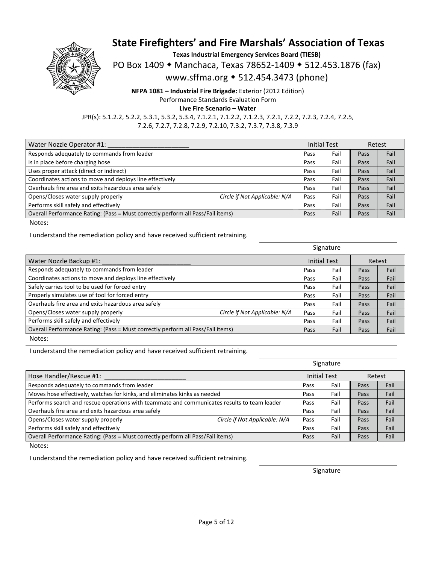

**Texas Industrial Emergency Services Board (TIESB)** 

PO Box 1409 • Manchaca, Texas 78652-1409 • 512.453.1876 (fax)

www.sffma.org 512.454.3473 (phone)

**NFPA 1081 – Industrial Fire Brigade:** Exterior (2012 Edition) Performance Standards Evaluation Form

**Live Fire Scenario – Water** 

JPR(s): 5.1.2.2, 5.2.2, 5.3.1, 5.3.2, 5.3.4, 7.1.2.1, 7.1.2.2, 7.1.2.3, 7.2.1, 7.2.2, 7.2.3, 7.2.4, 7.2.5, 7.2.6, 7.2.7, 7.2.8, 7.2.9, 7.2.10, 7.3.2, 7.3.7, 7.3.8, 7.3.9

| Water Nozzle Operator #1:                                                       |                               |      | Initial Test |      | Retest |
|---------------------------------------------------------------------------------|-------------------------------|------|--------------|------|--------|
| Responds adequately to commands from leader                                     |                               | Pass | Fail         | Pass | Fail   |
| Is in place before charging hose                                                |                               | Pass | Fail         | Pass | Fail   |
| Uses proper attack (direct or indirect)                                         |                               | Pass | Fail         | Pass | Fail   |
| Coordinates actions to move and deploys line effectively                        |                               | Pass | Fail         | Pass | Fail   |
| Overhauls fire area and exits hazardous area safely                             |                               | Pass | Fail         | Pass | Fail   |
| Opens/Closes water supply properly                                              | Circle if Not Applicable: N/A | Pass | Fail         | Pass | Fail   |
| Performs skill safely and effectively                                           |                               | Pass | Fail         | Pass | Fail   |
| Overall Performance Rating: (Pass = Must correctly perform all Pass/Fail items) |                               | Pass | Fail         | Pass | Fail   |
| Notes:                                                                          |                               |      |              |      |        |

I understand the remediation policy and have received sufficient retraining.

Signature Water Nozzle Backup #1:  $\blacksquare$  Retest  $\blacksquare$ Responds adequately to commands from leader **Network Commands in the set of the set of the set of the set of the** Coordinates actions to move and deploys line effectively **Equal Coordinates actions to move and deploys line** effectively Safely carries tool to be used for forced entry **National Community Community** Pass **Pass** Fail **Pass** Fail **Pass** Fail Properly simulates use of tool for forced entry **Equal COSE COSE COSE Pass Fail Pass Fail Pass Fail Pass Fail** Overhauls fire area and exits hazardous area safely **Example 20** Pass **Pass I Fail I Pass Pass** Fail **Pass** Fail Opens/Closes water supply properly *Circle if Not Applicable: N/A* Pass Fail Pass Fail Pass Fail Performs skill safely and effectively **Solution Section 2.1 Container and Section** Pass **Pass** Fail **Pass** Fail **Pass** Fail Overall Performance Rating: (Pass = Must correctly perform all Pass/Fail items) Pass | Pass | Fail | Pass | Fail | Pass | Fail

Notes:

I understand the remediation policy and have received sufficient retraining.

|                                                                                             |                               |                     | Signature |        |      |
|---------------------------------------------------------------------------------------------|-------------------------------|---------------------|-----------|--------|------|
| Hose Handler/Rescue #1:                                                                     |                               | <b>Initial Test</b> |           | Retest |      |
| Responds adequately to commands from leader                                                 |                               | Pass                | Fail      | Pass   | Fail |
| Moves hose effectively, watches for kinks, and eliminates kinks as needed                   |                               | Pass                | Fail      | Pass   | Fail |
| Performs search and rescue operations with teammate and communicates results to team leader |                               | Pass                | Fail      | Pass   | Fail |
| Overhauls fire area and exits hazardous area safely                                         |                               | Pass                | Fail      | Pass   | Fail |
| Opens/Closes water supply properly                                                          | Circle if Not Applicable: N/A | Pass                | Fail      | Pass   | Fail |
| Performs skill safely and effectively                                                       |                               | Pass                | Fail      | Pass   | Fail |
| Overall Performance Rating: (Pass = Must correctly perform all Pass/Fail items)             |                               | Pass                | Fail      | Pass   | Fail |
|                                                                                             |                               |                     |           |        |      |

Notes:

I understand the remediation policy and have received sufficient retraining.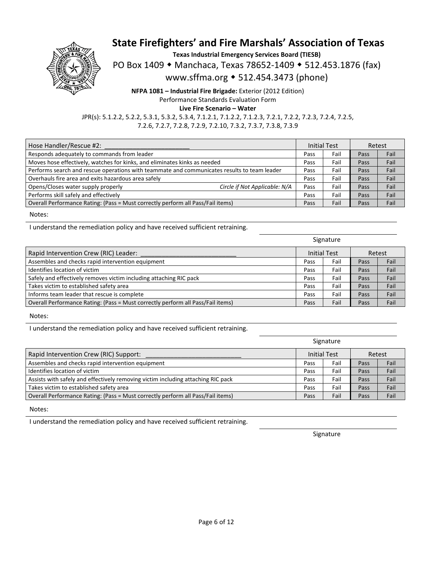

**Texas Industrial Emergency Services Board (TIESB)** 

PO Box 1409 • Manchaca, Texas 78652-1409 • 512.453.1876 (fax)

www.sffma.org 512.454.3473 (phone)

**NFPA 1081 – Industrial Fire Brigade:** Exterior (2012 Edition) Performance Standards Evaluation Form

**Live Fire Scenario – Water** 

JPR(s): 5.1.2.2, 5.2.2, 5.3.1, 5.3.2, 5.3.4, 7.1.2.1, 7.1.2.2, 7.1.2.3, 7.2.1, 7.2.2, 7.2.3, 7.2.4, 7.2.5, 7.2.6, 7.2.7, 7.2.8, 7.2.9, 7.2.10, 7.3.2, 7.3.7, 7.3.8, 7.3.9

| Hose Handler/Rescue #2:                                                                     |      | <b>Initial Test</b> | Retest |      |
|---------------------------------------------------------------------------------------------|------|---------------------|--------|------|
| Responds adequately to commands from leader                                                 | Pass | Fail                | Pass   | Fail |
| Moves hose effectively, watches for kinks, and eliminates kinks as needed                   | Pass | Fail                | Pass   | Fail |
| Performs search and rescue operations with teammate and communicates results to team leader | Pass | Fail                | Pass   | Fail |
| Overhauls fire area and exits hazardous area safely                                         | Pass | Fail                | Pass   | Fail |
| Opens/Closes water supply properly<br>Circle if Not Applicable: N/A                         | Pass | Fail                | Pass   | Fail |
| Performs skill safely and effectively                                                       | Pass | Fail                | Pass   | Fail |
| Overall Performance Rating: (Pass = Must correctly perform all Pass/Fail items)             | Pass | Fail                | Pass   | Fail |

Notes:

I understand the remediation policy and have received sufficient retraining.

|                                                                                 | Signature |                     |      |        |
|---------------------------------------------------------------------------------|-----------|---------------------|------|--------|
| Rapid Intervention Crew (RIC) Leader:                                           |           | <b>Initial Test</b> |      | Retest |
| Assembles and checks rapid intervention equipment                               | Pass      | Fail                | Pass | Fail   |
| Identifies location of victim                                                   | Pass      | Fail                | Pass | Fail   |
| Safely and effectively removes victim including attaching RIC pack              | Pass      | Fail                | Pass | Fail   |
| Takes victim to established safety area                                         | Pass      | Fail                | Pass | Fail   |
| Informs team leader that rescue is complete                                     | Pass      | Fail                | Pass | Fail   |
| Overall Performance Rating: (Pass = Must correctly perform all Pass/Fail items) | Pass      | Fail                | Pass | Fail   |

Notes:

I understand the remediation policy and have received sufficient retraining.

|                                                                                  |      | Signature                     |      |      |
|----------------------------------------------------------------------------------|------|-------------------------------|------|------|
| Rapid Intervention Crew (RIC) Support:                                           |      | <b>Initial Test</b><br>Retest |      |      |
| Assembles and checks rapid intervention equipment                                | Pass | Fail                          | Pass | Fail |
| Identifies location of victim                                                    | Pass | Fail                          | Pass | Fail |
| Assists with safely and effectively removing victim including attaching RIC pack | Pass | Fail                          | Pass | Fail |
| Takes victim to established safety area                                          | Pass | Fail                          | Pass | Fail |
| Overall Performance Rating: (Pass = Must correctly perform all Pass/Fail items)  | Pass | Fail                          | Pass | Fail |
|                                                                                  |      |                               |      |      |

Notes:

I understand the remediation policy and have received sufficient retraining.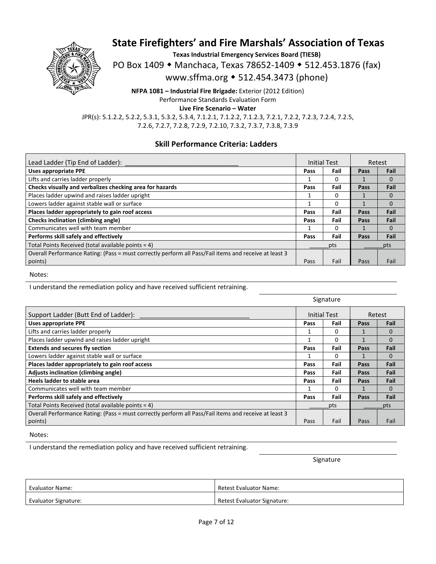

**Texas Industrial Emergency Services Board (TIESB)** 

PO Box 1409 ◆ Manchaca, Texas 78652-1409 ◆ 512.453.1876 (fax)

www.sffma.org 512.454.3473 (phone)

**NFPA 1081 – Industrial Fire Brigade:** Exterior (2012 Edition) Performance Standards Evaluation Form

**Live Fire Scenario – Water** 

JPR(s): 5.1.2.2, 5.2.2, 5.3.1, 5.3.2, 5.3.4, 7.1.2.1, 7.1.2.2, 7.1.2.3, 7.2.1, 7.2.2, 7.2.3, 7.2.4, 7.2.5, 7.2.6, 7.2.7, 7.2.8, 7.2.9, 7.2.10, 7.3.2, 7.3.7, 7.3.8, 7.3.9

### **Skill Performance Criteria: Ladders**

| Lead Ladder (Tip End of Ladder):                                                                      | <b>Initial Test</b> |      | Retest      |          |
|-------------------------------------------------------------------------------------------------------|---------------------|------|-------------|----------|
| <b>Uses appropriate PPE</b>                                                                           | Pass                | Fail | Pass        | Fail     |
| Lifts and carries ladder properly                                                                     |                     | 0    |             | $\Omega$ |
| Checks visually and verbalizes checking area for hazards                                              | Pass                | Fail | Pass        | Fail     |
| Places ladder upwind and raises ladder upright                                                        |                     | O    |             |          |
| Lowers ladder against stable wall or surface                                                          |                     | 0    | 1           | $\Omega$ |
| Places ladder appropriately to gain roof access                                                       | Pass                | Fail | Pass        | Fail     |
| Checks inclination (climbing angle)                                                                   | Pass                | Fail | <b>Pass</b> | Fail     |
| Communicates well with team member                                                                    |                     | 0    |             | $\Omega$ |
| Performs skill safely and effectively                                                                 | Pass                | Fail | Pass        | Fail     |
| Total Points Received (total available points = 4)                                                    | pts                 |      |             | pts      |
| Overall Performance Rating: (Pass = must correctly perform all Pass/Fail items and receive at least 3 |                     |      |             |          |
| points)                                                                                               | Pass                | Fail | Pass        | Fail     |

Notes:

I understand the remediation policy and have received sufficient retraining.

|                                                                                                       | Signature |                     |      |          |
|-------------------------------------------------------------------------------------------------------|-----------|---------------------|------|----------|
| Support Ladder (Butt End of Ladder):                                                                  |           | <b>Initial Test</b> |      | Retest   |
| <b>Uses appropriate PPE</b>                                                                           | Pass      | Fail                | Pass | Fail     |
| Lifts and carries ladder properly                                                                     |           | 0                   | 1    | $\Omega$ |
| Places ladder upwind and raises ladder upright                                                        |           | 0                   | 1    | $\Omega$ |
| <b>Extends and secures fly section</b>                                                                | Pass      | Fail                | Pass | Fail     |
| Lowers ladder against stable wall or surface                                                          |           | 0                   | 1    | $\Omega$ |
| Places ladder appropriately to gain roof access                                                       | Pass      | Fail                | Pass | Fail     |
| Adjusts inclination (climbing angle)                                                                  | Pass      | Fail                | Pass | Fail     |
| Heels ladder to stable area                                                                           | Pass      | Fail                | Pass | Fail     |
| Communicates well with team member                                                                    |           | 0                   | 1    | $\Omega$ |
| Performs skill safely and effectively                                                                 | Pass      | Fail                | Pass | Fail     |
| Total Points Received (total available points = 4)                                                    | pts       |                     | pts  |          |
| Overall Performance Rating: (Pass = must correctly perform all Pass/Fail items and receive at least 3 |           |                     |      |          |
| points)                                                                                               | Pass      | Fail                | Pass | Fail     |

Notes:

I understand the remediation policy and have received sufficient retraining.

| <b>Evaluator Name:</b>      | Retest Evaluator Name:      |
|-----------------------------|-----------------------------|
| <b>Evaluator Signature:</b> | Retest Evaluator Signature: |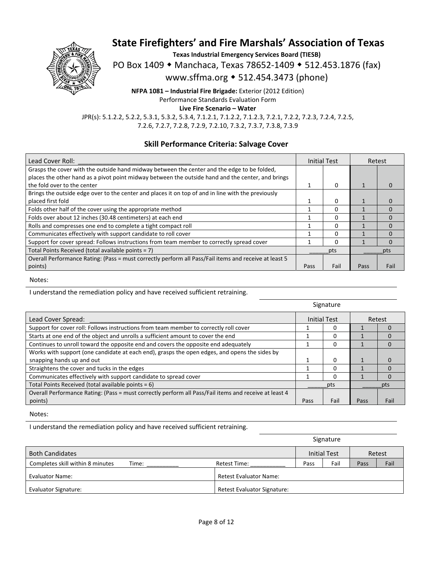

**Texas Industrial Emergency Services Board (TIESB)** 

PO Box 1409 • Manchaca, Texas 78652-1409 • 512.453.1876 (fax)

www.sffma.org 512.454.3473 (phone)

**NFPA 1081 – Industrial Fire Brigade:** Exterior (2012 Edition) Performance Standards Evaluation Form

**Live Fire Scenario – Water** 

JPR(s): 5.1.2.2, 5.2.2, 5.3.1, 5.3.2, 5.3.4, 7.1.2.1, 7.1.2.2, 7.1.2.3, 7.2.1, 7.2.2, 7.2.3, 7.2.4, 7.2.5, 7.2.6, 7.2.7, 7.2.8, 7.2.9, 7.2.10, 7.3.2, 7.3.7, 7.3.8, 7.3.9

### **Skill Performance Criteria: Salvage Cover**

| Lead Cover Roll:                                                                                      | <b>Initial Test</b> |      | Retest |              |
|-------------------------------------------------------------------------------------------------------|---------------------|------|--------|--------------|
| Grasps the cover with the outside hand midway between the center and the edge to be folded,           |                     |      |        |              |
| places the other hand as a pivot point midway between the outside hand and the center, and brings     |                     |      |        |              |
| the fold over to the center                                                                           |                     | 0    |        |              |
| Brings the outside edge over to the center and places it on top of and in line with the previously    |                     |      |        |              |
| placed first fold                                                                                     |                     | 0    |        |              |
| Folds other half of the cover using the appropriate method                                            |                     | 0    |        |              |
| Folds over about 12 inches (30.48 centimeters) at each end                                            |                     | 0    |        | <sup>0</sup> |
| Rolls and compresses one end to complete a tight compact roll                                         |                     | 0    |        | <sup>0</sup> |
| Communicates effectively with support candidate to roll cover                                         |                     | 0    |        | <sup>0</sup> |
| Support for cover spread: Follows instructions from team member to correctly spread cover             |                     | 0    |        | 0            |
| Total Points Received (total available points = 7)                                                    | pts                 |      | pts    |              |
| Overall Performance Rating: (Pass = must correctly perform all Pass/Fail items and receive at least 5 |                     |      |        |              |
| points)                                                                                               | Pass                | Fail | Pass   | Fail         |

Notes:

I understand the remediation policy and have received sufficient retraining.

|                                                                                                       |      | Signature           |        |          |
|-------------------------------------------------------------------------------------------------------|------|---------------------|--------|----------|
| Lead Cover Spread:                                                                                    |      | <b>Initial Test</b> | Retest |          |
| Support for cover roll: Follows instructions from team member to correctly roll cover                 |      |                     |        |          |
| Starts at one end of the object and unrolls a sufficient amount to cover the end                      |      |                     |        |          |
| Continues to unroll toward the opposite end and covers the opposite end adequately                    |      |                     |        |          |
| Works with support (one candidate at each end), grasps the open edges, and opens the sides by         |      |                     |        |          |
| snapping hands up and out                                                                             |      |                     |        |          |
| Straightens the cover and tucks in the edges                                                          |      |                     |        | $\Omega$ |
| Communicates effectively with support candidate to spread cover                                       |      |                     |        |          |
| Total Points Received (total available points = 6)                                                    |      | pts                 |        | pts      |
| Overall Performance Rating: (Pass = must correctly perform all Pass/Fail items and receive at least 4 |      |                     |        |          |
| points)                                                                                               | Pass | Fail                | Pass   | Fail     |

Notes:

I understand the remediation policy and have received sufficient retraining.

|                                           |                               |      | Signature           |      |        |
|-------------------------------------------|-------------------------------|------|---------------------|------|--------|
| <b>Both Candidates</b>                    |                               |      | <b>Initial Test</b> |      | Retest |
| Completes skill within 8 minutes<br>Time: | Retest Time:                  | Pass | Fail                | Pass | Fail   |
| <b>Evaluator Name:</b>                    | <b>Retest Evaluator Name:</b> |      |                     |      |        |
| Evaluator Signature:                      | Retest Evaluator Signature:   |      |                     |      |        |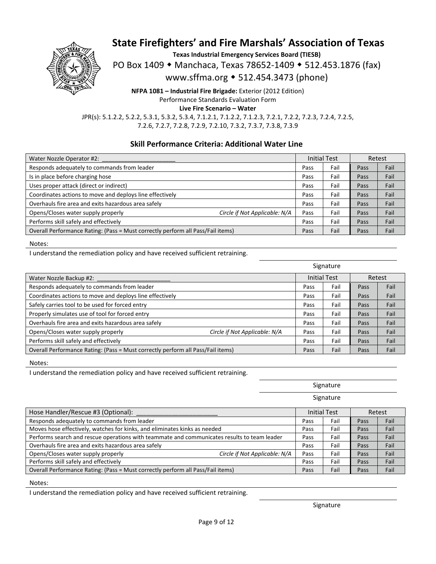

**Texas Industrial Emergency Services Board (TIESB)** 

PO Box 1409 • Manchaca, Texas 78652-1409 • 512.453.1876 (fax)

www.sffma.org 512.454.3473 (phone)

**NFPA 1081 – Industrial Fire Brigade:** Exterior (2012 Edition) Performance Standards Evaluation Form

**Live Fire Scenario – Water** 

JPR(s): 5.1.2.2, 5.2.2, 5.3.1, 5.3.2, 5.3.4, 7.1.2.1, 7.1.2.2, 7.1.2.3, 7.2.1, 7.2.2, 7.2.3, 7.2.4, 7.2.5, 7.2.6, 7.2.7, 7.2.8, 7.2.9, 7.2.10, 7.3.2, 7.3.7, 7.3.8, 7.3.9

### **Skill Performance Criteria: Additional Water Line**

| Water Nozzle Operator #2:                                                       |                               | <b>Initial Test</b> |      | Retest |      |
|---------------------------------------------------------------------------------|-------------------------------|---------------------|------|--------|------|
| Responds adequately to commands from leader                                     |                               | Pass                | Fail | Pass   | Fail |
| Is in place before charging hose                                                |                               | Pass                | Fail | Pass   | Fail |
| Uses proper attack (direct or indirect)                                         |                               | Pass                | Fail | Pass   | Fail |
| Coordinates actions to move and deploys line effectively                        |                               | Pass                | Fail | Pass   | Fail |
| Overhauls fire area and exits hazardous area safely                             |                               | Pass                | Fail | Pass   | Fail |
| Opens/Closes water supply properly                                              | Circle if Not Applicable: N/A | Pass                | Fail | Pass   | Fail |
| Performs skill safely and effectively                                           |                               | Pass                | Fail | Pass   | Fail |
| Overall Performance Rating: (Pass = Must correctly perform all Pass/Fail items) |                               | Pass                | Fail | Pass   | Fail |

Notes:

I understand the remediation policy and have received sufficient retraining.

|                                                                                 |                               |      | Signature                     |      |      |
|---------------------------------------------------------------------------------|-------------------------------|------|-------------------------------|------|------|
| Water Nozzle Backup #2:                                                         |                               |      | <b>Initial Test</b><br>Retest |      |      |
| Responds adequately to commands from leader                                     |                               | Pass | Fail                          | Pass | Fail |
| Coordinates actions to move and deploys line effectively                        |                               | Pass | Fail                          | Pass | Fail |
| Safely carries tool to be used for forced entry                                 |                               | Pass | Fail                          | Pass | Fail |
| Properly simulates use of tool for forced entry                                 |                               | Pass | Fail                          | Pass | Fail |
| Overhauls fire area and exits hazardous area safely                             |                               | Pass | Fail                          | Pass | Fail |
| Opens/Closes water supply properly                                              | Circle if Not Applicable: N/A | Pass | Fail                          | Pass | Fail |
| Performs skill safely and effectively                                           |                               | Pass | Fail                          | Pass | Fail |
| Overall Performance Rating: (Pass = Must correctly perform all Pass/Fail items) |                               | Pass | Fail                          | Pass | Fail |

Notes:

I understand the remediation policy and have received sufficient retraining.

| Signature |  |
|-----------|--|
|           |  |

Signature

| Hose Handler/Rescue #3 (Optional):                                                          |      | <b>Initial Test</b> |      | Retest |
|---------------------------------------------------------------------------------------------|------|---------------------|------|--------|
| Responds adequately to commands from leader                                                 | Pass | Fail                | Pass | Fail   |
| Moves hose effectively, watches for kinks, and eliminates kinks as needed                   |      | Fail                | Pass | Fail   |
| Performs search and rescue operations with teammate and communicates results to team leader |      | Fail                | Pass | Fail   |
| Overhauls fire area and exits hazardous area safely                                         |      | Fail                | Pass | Fail   |
| Circle if Not Applicable: N/A<br>Opens/Closes water supply properly                         | Pass | Fail                | Pass | Fail   |
| Performs skill safely and effectively                                                       | Pass | Fail                | Pass | Fail   |
| Overall Performance Rating: (Pass = Must correctly perform all Pass/Fail items)             |      | Fail                | Pass | Fail   |

Notes:

I understand the remediation policy and have received sufficient retraining.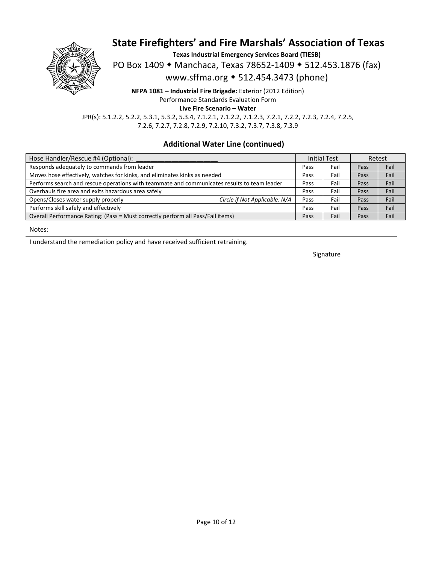

**Texas Industrial Emergency Services Board (TIESB)** 

PO Box 1409 • Manchaca, Texas 78652-1409 • 512.453.1876 (fax)

www.sffma.org 512.454.3473 (phone)

**NFPA 1081 – Industrial Fire Brigade:** Exterior (2012 Edition) Performance Standards Evaluation Form

**Live Fire Scenario – Water** 

JPR(s): 5.1.2.2, 5.2.2, 5.3.1, 5.3.2, 5.3.4, 7.1.2.1, 7.1.2.2, 7.1.2.3, 7.2.1, 7.2.2, 7.2.3, 7.2.4, 7.2.5, 7.2.6, 7.2.7, 7.2.8, 7.2.9, 7.2.10, 7.3.2, 7.3.7, 7.3.8, 7.3.9

### **Additional Water Line (continued)**

| Hose Handler/Rescue #4 (Optional):                                                          |      | <b>Initial Test</b> |      | Retest |  |
|---------------------------------------------------------------------------------------------|------|---------------------|------|--------|--|
| Responds adequately to commands from leader                                                 | Pass | Fail                | Pass | Fail   |  |
| Moves hose effectively, watches for kinks, and eliminates kinks as needed                   |      | Fail                | Pass | Fail   |  |
| Performs search and rescue operations with teammate and communicates results to team leader |      | Fail                | Pass | Fail   |  |
| Overhauls fire area and exits hazardous area safely                                         |      | Fail                | Pass | Fail   |  |
| Opens/Closes water supply properly<br>Circle if Not Applicable: N/A                         | Pass | Fail                | Pass | Fail   |  |
| Performs skill safely and effectively                                                       | Pass | Fail                | Pass | Fail   |  |
| Overall Performance Rating: (Pass = Must correctly perform all Pass/Fail items)             |      | Fail                | Pass | Fail   |  |

Notes:

I understand the remediation policy and have received sufficient retraining.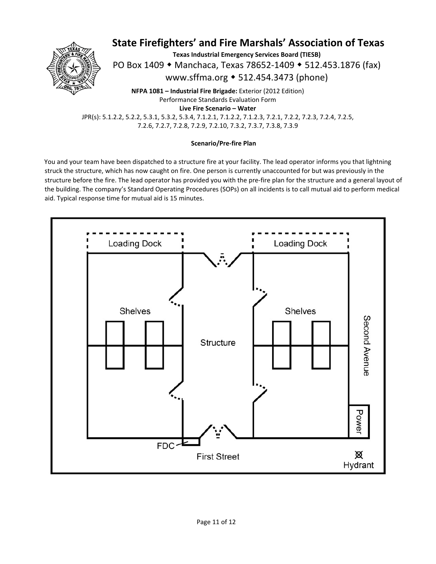

**Texas Industrial Emergency Services Board (TIESB)** 

PO Box 1409 • Manchaca, Texas 78652-1409 • 512.453.1876 (fax)

www.sffma.org 512.454.3473 (phone)

**NFPA 1081 – Industrial Fire Brigade:** Exterior (2012 Edition) Performance Standards Evaluation Form **Live Fire Scenario – Water** 

JPR(s): 5.1.2.2, 5.2.2, 5.3.1, 5.3.2, 5.3.4, 7.1.2.1, 7.1.2.2, 7.1.2.3, 7.2.1, 7.2.2, 7.2.3, 7.2.4, 7.2.5, 7.2.6, 7.2.7, 7.2.8, 7.2.9, 7.2.10, 7.3.2, 7.3.7, 7.3.8, 7.3.9

#### **Scenario/Pre‐fire Plan**

You and your team have been dispatched to a structure fire at your facility. The lead operator informs you that lightning struck the structure, which has now caught on fire. One person is currently unaccounted for but was previously in the structure before the fire. The lead operator has provided you with the pre-fire plan for the structure and a general layout of the building. The company's Standard Operating Procedures (SOPs) on all incidents is to call mutual aid to perform medical aid. Typical response time for mutual aid is 15 minutes.